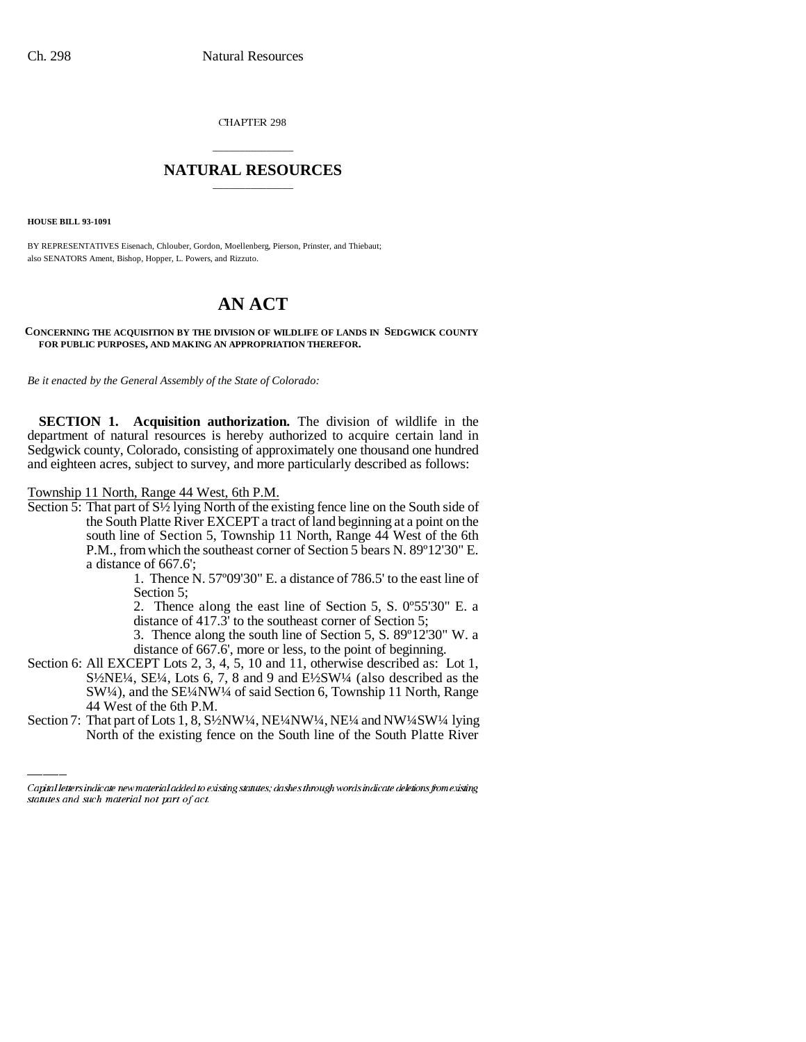CHAPTER 298

## \_\_\_\_\_\_\_\_\_\_\_\_\_\_\_ **NATURAL RESOURCES** \_\_\_\_\_\_\_\_\_\_\_\_\_\_\_

**HOUSE BILL 93-1091**

BY REPRESENTATIVES Eisenach, Chlouber, Gordon, Moellenberg, Pierson, Prinster, and Thiebaut; also SENATORS Ament, Bishop, Hopper, L. Powers, and Rizzuto.

## **AN ACT**

## **CONCERNING THE ACQUISITION BY THE DIVISION OF WILDLIFE OF LANDS IN SEDGWICK COUNTY FOR PUBLIC PURPOSES, AND MAKING AN APPROPRIATION THEREFOR.**

*Be it enacted by the General Assembly of the State of Colorado:*

**SECTION 1. Acquisition authorization.** The division of wildlife in the department of natural resources is hereby authorized to acquire certain land in Sedgwick county, Colorado, consisting of approximately one thousand one hundred and eighteen acres, subject to survey, and more particularly described as follows:

Township 11 North, Range 44 West, 6th P.M.

Section 5: That part of S½ lying North of the existing fence line on the South side of the South Platte River EXCEPT a tract of land beginning at a point on the south line of Section 5, Township 11 North, Range 44 West of the 6th P.M., from which the southeast corner of Section 5 bears N. 89º12'30" E. a distance of 667.6';

1. Thence N. 57º09'30" E. a distance of 786.5' to the east line of Section 5;

2. Thence along the east line of Section 5, S. 0º55'30" E. a distance of 417.3' to the southeast corner of Section 5;

- 3. Thence along the south line of Section 5, S. 89º12'30" W. a distance of 667.6', more or less, to the point of beginning.
- Section 6: All EXCEPT Lots 2, 3, 4, 5, 10 and 11, otherwise described as: Lot 1, S½NE¼, SE¼, Lots 6, 7, 8 and 9 and E½SW¼ (also described as the SW¼), and the SE¼NW¼ of said Section 6, Township 11 North, Range 44 West of the 6th P.M.
- Section 7: That part of Lots 1, 8, S<sup>1</sup>/<sub>2</sub>NW<sup>1</sup>/4, NE<sup>1</sup>/<sub>4</sub>NW<sup>1</sup>/4, NE<sup>1</sup>/<sub>4</sub> and NW<sup>1</sup>/<sub>4</sub>SW<sup>1</sup>/<sub>4</sub> lying North of the existing fence on the South line of the South Platte River

Capital letters indicate new material added to existing statutes; dashes through words indicate deletions from existing statutes and such material not part of act.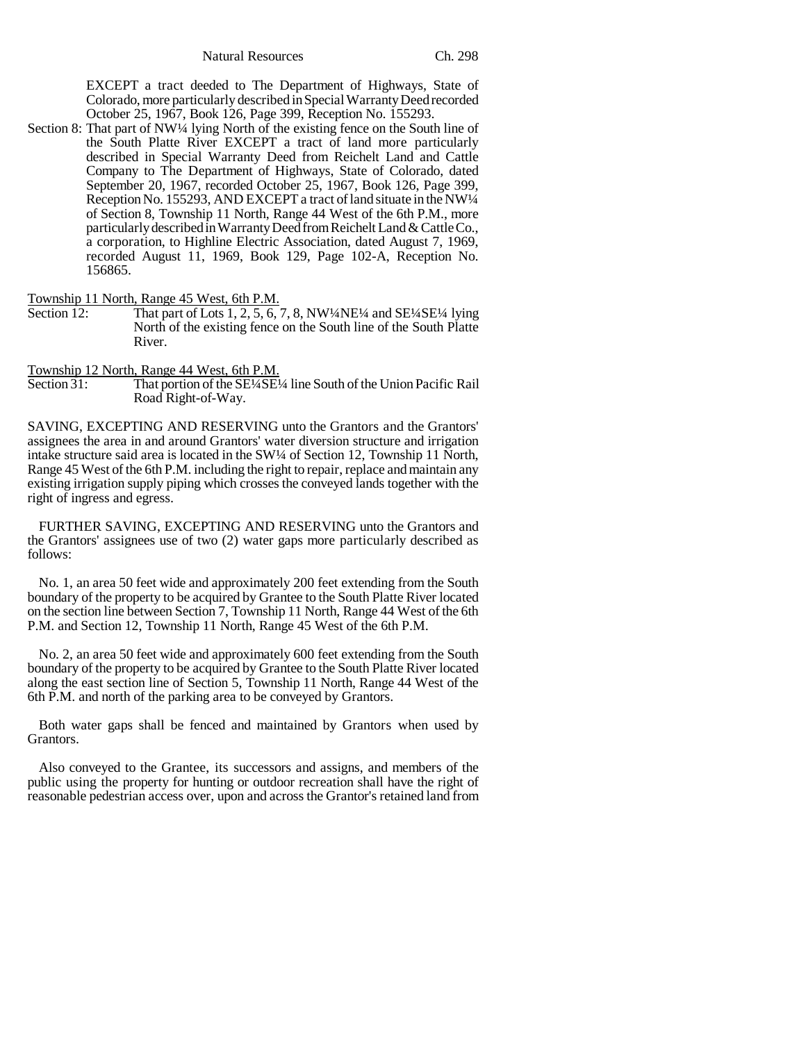EXCEPT a tract deeded to The Department of Highways, State of Colorado, more particularly described in Special Warranty Deed recorded October 25, 1967, Book 126, Page 399, Reception No. 155293.

Section 8: That part of NW¼ lying North of the existing fence on the South line of the South Platte River EXCEPT a tract of land more particularly described in Special Warranty Deed from Reichelt Land and Cattle Company to The Department of Highways, State of Colorado, dated September 20, 1967, recorded October 25, 1967, Book 126, Page 399, Reception No. 155293, AND EXCEPT a tract of land situate in the NW¼ of Section 8, Township 11 North, Range 44 West of the 6th P.M., more particularly described in Warranty Deed from Reichelt Land & Cattle Co., a corporation, to Highline Electric Association, dated August 7, 1969, recorded August 11, 1969, Book 129, Page 102-A, Reception No. 156865.

Township 11 North, Range 45 West, 6th P.M.<br>Section 12: That part of Lots 1, 2, 5, 6, 7

That part of Lots  $1, 2, 5, 6, 7, 8$ , NW<sup>1</sup>/4NE<sup>1</sup>/4 and SE<sup>1</sup>/4SE<sup>1</sup>/4 lying North of the existing fence on the South line of the South Platte River.

Township 12 North, Range 44 West, 6th P.M.<br>Section 31: That portion of the SE<sup>1</sup>/4SE<sup>1</sup>

That portion of the SE¼SE¼ line South of the Union Pacific Rail Road Right-of-Way.

SAVING, EXCEPTING AND RESERVING unto the Grantors and the Grantors' assignees the area in and around Grantors' water diversion structure and irrigation intake structure said area is located in the SW1/4 of Section 12, Township 11 North, Range 45 West of the 6th P.M. including the right to repair, replace and maintain any existing irrigation supply piping which crosses the conveyed lands together with the right of ingress and egress.

FURTHER SAVING, EXCEPTING AND RESERVING unto the Grantors and the Grantors' assignees use of two (2) water gaps more particularly described as follows:

No. 1, an area 50 feet wide and approximately 200 feet extending from the South boundary of the property to be acquired by Grantee to the South Platte River located on the section line between Section 7, Township 11 North, Range 44 West of the 6th P.M. and Section 12, Township 11 North, Range 45 West of the 6th P.M.

No. 2, an area 50 feet wide and approximately 600 feet extending from the South boundary of the property to be acquired by Grantee to the South Platte River located along the east section line of Section 5, Township 11 North, Range 44 West of the 6th P.M. and north of the parking area to be conveyed by Grantors.

Both water gaps shall be fenced and maintained by Grantors when used by Grantors.

Also conveyed to the Grantee, its successors and assigns, and members of the public using the property for hunting or outdoor recreation shall have the right of reasonable pedestrian access over, upon and across the Grantor's retained land from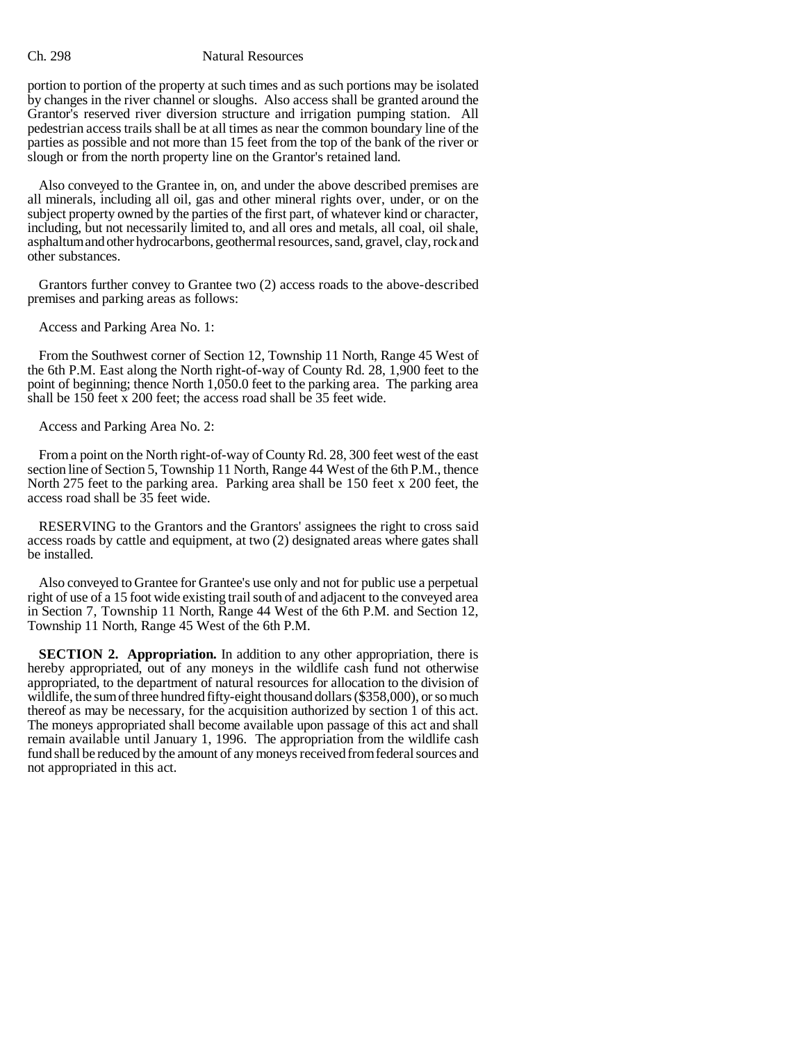## Ch. 298 Natural Resources

portion to portion of the property at such times and as such portions may be isolated by changes in the river channel or sloughs. Also access shall be granted around the Grantor's reserved river diversion structure and irrigation pumping station. All pedestrian access trails shall be at all times as near the common boundary line of the parties as possible and not more than 15 feet from the top of the bank of the river or slough or from the north property line on the Grantor's retained land.

Also conveyed to the Grantee in, on, and under the above described premises are all minerals, including all oil, gas and other mineral rights over, under, or on the subject property owned by the parties of the first part, of whatever kind or character, including, but not necessarily limited to, and all ores and metals, all coal, oil shale, asphaltum and other hydrocarbons, geothermal resources, sand, gravel, clay, rock and other substances.

Grantors further convey to Grantee two (2) access roads to the above-described premises and parking areas as follows:

Access and Parking Area No. 1:

From the Southwest corner of Section 12, Township 11 North, Range 45 West of the 6th P.M. East along the North right-of-way of County Rd. 28, 1,900 feet to the point of beginning; thence North 1,050.0 feet to the parking area. The parking area shall be 150 feet x 200 feet; the access road shall be 35 feet wide.

Access and Parking Area No. 2:

From a point on the North right-of-way of County Rd. 28, 300 feet west of the east section line of Section 5, Township 11 North, Range 44 West of the 6th P.M., thence North 275 feet to the parking area. Parking area shall be 150 feet x 200 feet, the access road shall be 35 feet wide.

RESERVING to the Grantors and the Grantors' assignees the right to cross said access roads by cattle and equipment, at two (2) designated areas where gates shall be installed.

Also conveyed to Grantee for Grantee's use only and not for public use a perpetual right of use of a 15 foot wide existing trail south of and adjacent to the conveyed area in Section 7, Township 11 North, Range 44 West of the 6th P.M. and Section 12, Township 11 North, Range 45 West of the 6th P.M.

**SECTION 2. Appropriation.** In addition to any other appropriation, there is hereby appropriated, out of any moneys in the wildlife cash fund not otherwise appropriated, to the department of natural resources for allocation to the division of wildlife, the sum of three hundred fifty-eight thousand dollars (\$358,000), or so much thereof as may be necessary, for the acquisition authorized by section 1 of this act. The moneys appropriated shall become available upon passage of this act and shall remain available until January 1, 1996. The appropriation from the wildlife cash fund shall be reduced by the amount of any moneys received from federal sources and not appropriated in this act.